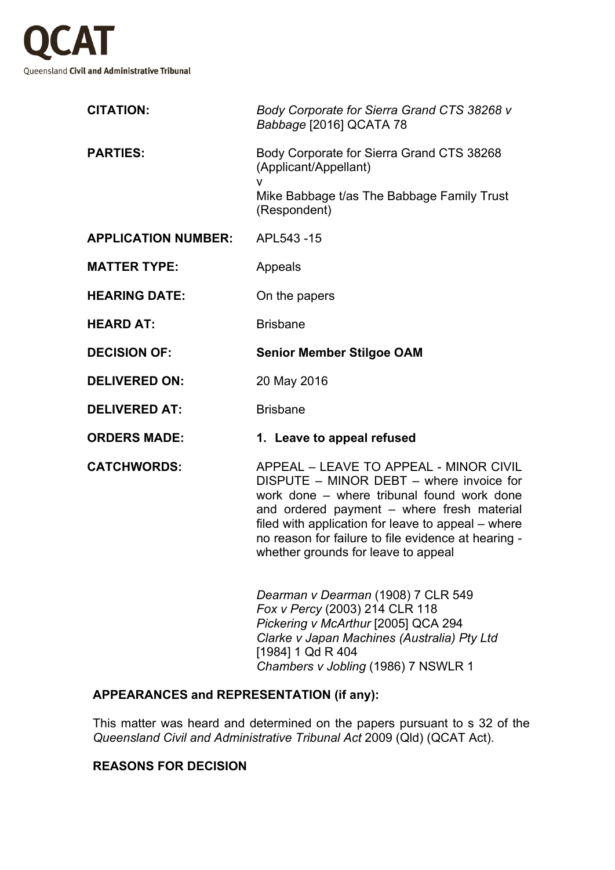

| <b>CITATION:</b>           | Body Corporate for Sierra Grand CTS 38268 v<br>Babbage [2016] QCATA 78                                                                                                                                                                                                                                                             |
|----------------------------|------------------------------------------------------------------------------------------------------------------------------------------------------------------------------------------------------------------------------------------------------------------------------------------------------------------------------------|
| <b>PARTIES:</b>            | Body Corporate for Sierra Grand CTS 38268<br>(Applicant/Appellant)<br>v                                                                                                                                                                                                                                                            |
|                            | Mike Babbage t/as The Babbage Family Trust<br>(Respondent)                                                                                                                                                                                                                                                                         |
| <b>APPLICATION NUMBER:</b> | APL543-15                                                                                                                                                                                                                                                                                                                          |
| <b>MATTER TYPE:</b>        | Appeals                                                                                                                                                                                                                                                                                                                            |
| <b>HEARING DATE:</b>       | On the papers                                                                                                                                                                                                                                                                                                                      |
| <b>HEARD AT:</b>           | <b>Brisbane</b>                                                                                                                                                                                                                                                                                                                    |
| <b>DECISION OF:</b>        | <b>Senior Member Stilgoe OAM</b>                                                                                                                                                                                                                                                                                                   |
| <b>DELIVERED ON:</b>       | 20 May 2016                                                                                                                                                                                                                                                                                                                        |
| <b>DELIVERED AT:</b>       | <b>Brisbane</b>                                                                                                                                                                                                                                                                                                                    |
| <b>ORDERS MADE:</b>        | 1. Leave to appeal refused                                                                                                                                                                                                                                                                                                         |
| <b>CATCHWORDS:</b>         | APPEAL - LEAVE TO APPEAL - MINOR CIVIL<br>DISPUTE - MINOR DEBT - where invoice for<br>work done - where tribunal found work done<br>and ordered payment – where fresh material<br>filed with application for leave to appeal – where<br>no reason for failure to file evidence at hearing -<br>whether grounds for leave to appeal |
|                            | Dearman v Dearman (1908) 7 CLR 549<br>Fox v Percy (2003) 214 CLR 118<br>Pickering v McArthur [2005] QCA 294<br>Clarke v Japan Machines (Australia) Pty Ltd<br>[1984] 1 Qd R 404                                                                                                                                                    |

## **APPEARANCES and REPRESENTATION (if any):**

This matter was heard and determined on the papers pursuant to s 32 of the *Queensland Civil and Administrative Tribunal Act* 2009 (Qld) (QCAT Act).

*Chambers v Jobling* (1986) 7 NSWLR 1

## **REASONS FOR DECISION**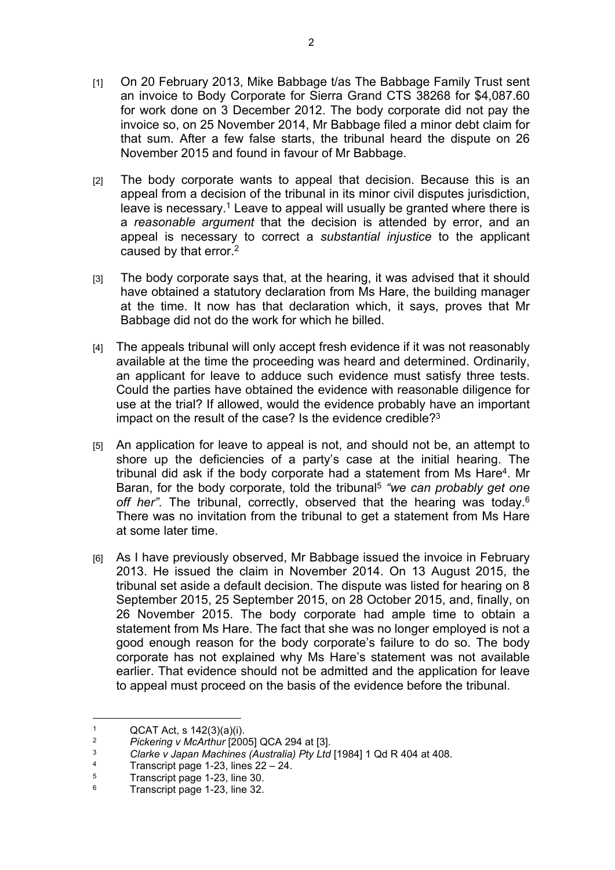- [1] On 20 February 2013, Mike Babbage t/as The Babbage Family Trust sent an invoice to Body Corporate for Sierra Grand CTS 38268 for \$4,087.60 for work done on 3 December 2012. The body corporate did not pay the invoice so, on 25 November 2014, Mr Babbage filed a minor debt claim for that sum. After a few false starts, the tribunal heard the dispute on 26 November 2015 and found in favour of Mr Babbage.
- [2] The body corporate wants to appeal that decision. Because this is an appeal from a decision of the tribunal in its minor civil disputes jurisdiction, leave is necessary.<sup>1</sup> Leave to appeal will usually be granted where there is a *reasonable argument* that the decision is attended by error, and an appeal is necessary to correct a *substantial injustice* to the applicant caused by that error.<sup>2</sup>
- [3] The body corporate says that, at the hearing, it was advised that it should have obtained a statutory declaration from Ms Hare, the building manager at the time. It now has that declaration which, it says, proves that Mr Babbage did not do the work for which he billed.
- [4] The appeals tribunal will only accept fresh evidence if it was not reasonably available at the time the proceeding was heard and determined. Ordinarily, an applicant for leave to adduce such evidence must satisfy three tests. Could the parties have obtained the evidence with reasonable diligence for use at the trial? If allowed, would the evidence probably have an important impact on the result of the case? Is the evidence credible?<sup>3</sup>
- [5] An application for leave to appeal is not, and should not be, an attempt to shore up the deficiencies of a party's case at the initial hearing. The tribunal did ask if the body corporate had a statement from Ms Hare<sup>4</sup>. Mr Baran, for the body corporate, told the tribunal<sup>5</sup> "we can probably get one off her". The tribunal, correctly, observed that the hearing was today.<sup>6</sup> There was no invitation from the tribunal to get a statement from Ms Hare at some later time.
- [6] As I have previously observed, Mr Babbage issued the invoice in February 2013. He issued the claim in November 2014. On 13 August 2015, the tribunal set aside a default decision. The dispute was listed for hearing on 8 September 2015, 25 September 2015, on 28 October 2015, and, finally, on 26 November 2015. The body corporate had ample time to obtain a statement from Ms Hare. The fact that she was no longer employed is not a good enough reason for the body corporate's failure to do so. The body corporate has not explained why Ms Hare's statement was not available earlier. That evidence should not be admitted and the application for leave to appeal must proceed on the basis of the evidence before the tribunal.

<sup>1</sup>  $QCAT$  Act, s  $142(3)(a)(i)$ .<br>  $QCAT$  Act, a  $142(3)(a)(i)$ .

<sup>2</sup> *Pickering v McArthur* [2005] QCA 294 at [3].

<sup>3</sup> *Clarke v Japan Machines (Australia) Pty Ltd* [1984] 1 Qd R 404 at 408.

<sup>4</sup> Transcript page 1-23, lines 22 – 24.

<sup>5</sup> Transcript page 1-23, line 30.

<sup>6</sup> Transcript page 1-23, line 32.